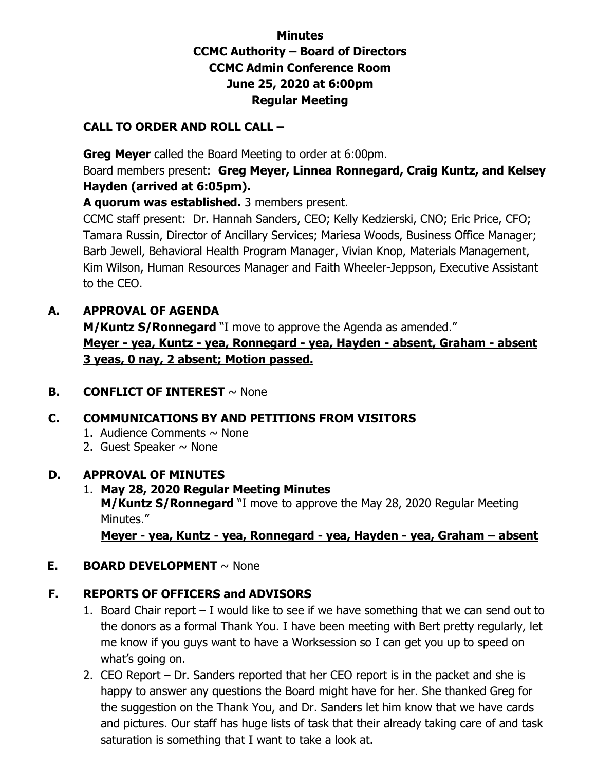## **Minutes CCMC Authority – Board of Directors CCMC Admin Conference Room June 25, 2020 at 6:00pm Regular Meeting**

### **CALL TO ORDER AND ROLL CALL –**

 **Greg Meyer** called the Board Meeting to order at 6:00pm.

Board members present: **Greg Meyer, Linnea Ronnegard, Craig Kuntz, and Kelsey Hayden (arrived at 6:05pm).** 

**A quorum was established.** 3 members present.

CCMC staff present: Dr. Hannah Sanders, CEO; Kelly Kedzierski, CNO; Eric Price, CFO; Tamara Russin, Director of Ancillary Services; Mariesa Woods, Business Office Manager; Barb Jewell, Behavioral Health Program Manager, Vivian Knop, Materials Management, Kim Wilson, Human Resources Manager and Faith Wheeler-Jeppson, Executive Assistant to the CEO.

### **A. APPROVAL OF AGENDA**

**M/Kuntz S/Ronnegard** "I move to approve the Agenda as amended." **Meyer - yea, Kuntz - yea, Ronnegard - yea, Hayden - absent, Graham - absent 3 yeas, 0 nay, 2 absent; Motion passed.** 

### **B. CONFLICT OF INTEREST** ~ None

## **C. COMMUNICATIONS BY AND PETITIONS FROM VISITORS**

- 1. Audience Comments  $\sim$  None
- 2. Guest Speaker  $\sim$  None

### **D. APPROVAL OF MINUTES**

#### 1. **May 28, 2020 Regular Meeting Minutes M/Kuntz S/Ronnegard** "I move to approve the May 28, 2020 Regular Meeting Minutes."

**Meyer - yea, Kuntz - yea, Ronnegard - yea, Hayden - yea, Graham – absent** 

### **E. BOARD DEVELOPMENT** ~ None

## **F. REPORTS OF OFFICERS and ADVISORS**

- 1. Board Chair report I would like to see if we have something that we can send out to the donors as a formal Thank You. I have been meeting with Bert pretty regularly, let me know if you guys want to have a Worksession so I can get you up to speed on what's going on.
- 2. CEO Report Dr. Sanders reported that her CEO report is in the packet and she is happy to answer any questions the Board might have for her. She thanked Greg for the suggestion on the Thank You, and Dr. Sanders let him know that we have cards and pictures. Our staff has huge lists of task that their already taking care of and task saturation is something that I want to take a look at.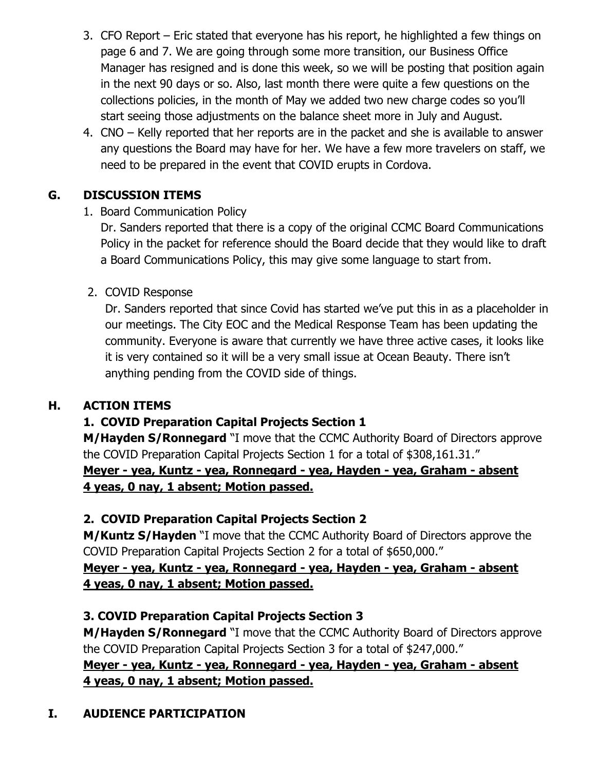- 3. CFO Report Eric stated that everyone has his report, he highlighted a few things on page 6 and 7. We are going through some more transition, our Business Office Manager has resigned and is done this week, so we will be posting that position again in the next 90 days or so. Also, last month there were quite a few questions on the collections policies, in the month of May we added two new charge codes so you'll start seeing those adjustments on the balance sheet more in July and August.
- 4. CNO Kelly reported that her reports are in the packet and she is available to answer any questions the Board may have for her. We have a few more travelers on staff, we need to be prepared in the event that COVID erupts in Cordova.

## **G. DISCUSSION ITEMS**

## 1. Board Communication Policy

Dr. Sanders reported that there is a copy of the original CCMC Board Communications Policy in the packet for reference should the Board decide that they would like to draft a Board Communications Policy, this may give some language to start from.

### 2. COVID Response

Dr. Sanders reported that since Covid has started we've put this in as a placeholder in our meetings. The City EOC and the Medical Response Team has been updating the community. Everyone is aware that currently we have three active cases, it looks like it is very contained so it will be a very small issue at Ocean Beauty. There isn't anything pending from the COVID side of things.

### **H. ACTION ITEMS**

# **1. COVID Preparation Capital Projects Section 1**

**M/Hayden S/Ronnegard** "I move that the CCMC Authority Board of Directors approve the COVID Preparation Capital Projects Section 1 for a total of \$308,161.31."

### **Meyer - yea, Kuntz - yea, Ronnegard - yea, Hayden - yea, Graham - absent 4 yeas, 0 nay, 1 absent; Motion passed.**

### **2. COVID Preparation Capital Projects Section 2**

**M/Kuntz S/Hayden** "I move that the CCMC Authority Board of Directors approve the COVID Preparation Capital Projects Section 2 for a total of \$650,000."

### **Meyer - yea, Kuntz - yea, Ronnegard - yea, Hayden - yea, Graham - absent 4 yeas, 0 nay, 1 absent; Motion passed.**

## **3. COVID Preparation Capital Projects Section 3**

**M/Hayden S/Ronnegard** "I move that the CCMC Authority Board of Directors approve the COVID Preparation Capital Projects Section 3 for a total of \$247,000."

### **Meyer - yea, Kuntz - yea, Ronnegard - yea, Hayden - yea, Graham - absent 4 yeas, 0 nay, 1 absent; Motion passed.**

# **I. AUDIENCE PARTICIPATION**